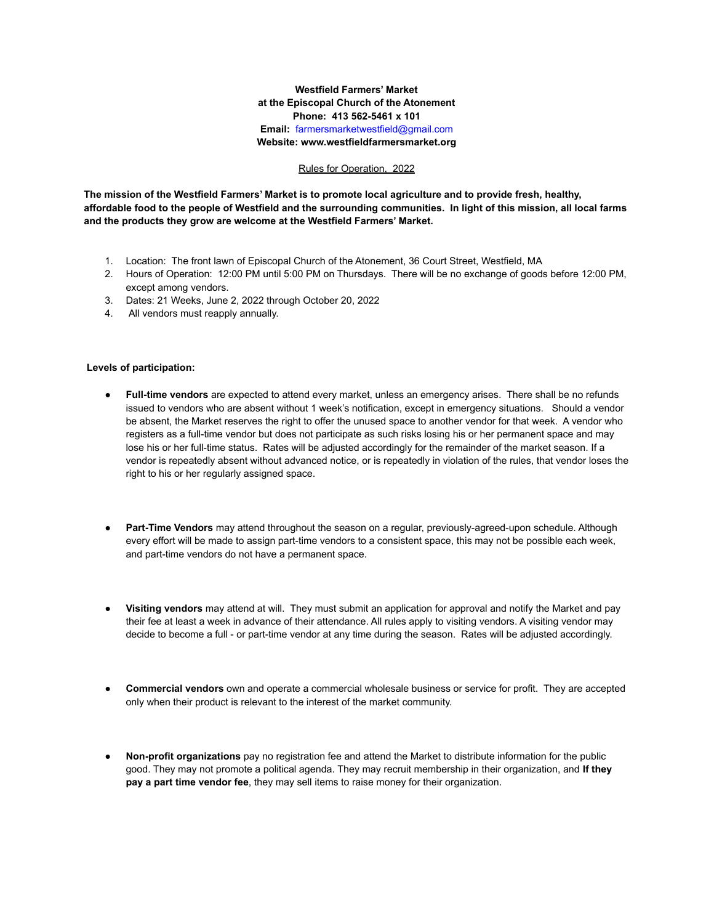**Westfield Farmers' Market at the Episcopal Church of the Atonement Phone: 413 562-5461 x 101 Email:** farmersmarketwestfield@gmail.com **Website: www.westfieldfarmersmarket.org**

## Rules for Operation, 2022

The mission of the Westfield Farmers' Market is to promote local agriculture and to provide fresh, healthy, affordable food to the people of Westfield and the surrounding communities. In light of this mission, all local farms **and the products they grow are welcome at the Westfield Farmers' Market.**

- 1. Location: The front lawn of Episcopal Church of the Atonement, 36 Court Street, Westfield, MA
- 2. Hours of Operation: 12:00 PM until 5:00 PM on Thursdays. There will be no exchange of goods before 12:00 PM, except among vendors.
- 3. Dates: 21 Weeks, June 2, 2022 through October 20, 2022
- 4. All vendors must reapply annually.

## **Levels of participation:**

- **Full-time vendors** are expected to attend every market, unless an emergency arises. There shall be no refunds issued to vendors who are absent without 1 week's notification, except in emergency situations. Should a vendor be absent, the Market reserves the right to offer the unused space to another vendor for that week. A vendor who registers as a full-time vendor but does not participate as such risks losing his or her permanent space and may lose his or her full-time status. Rates will be adjusted accordingly for the remainder of the market season. If a vendor is repeatedly absent without advanced notice, or is repeatedly in violation of the rules, that vendor loses the right to his or her regularly assigned space.
- **Part-Time Vendors** may attend throughout the season on a regular, previously-agreed-upon schedule. Although every effort will be made to assign part-time vendors to a consistent space, this may not be possible each week, and part-time vendors do not have a permanent space.
- **Visiting vendors** may attend at will. They must submit an application for approval and notify the Market and pay their fee at least a week in advance of their attendance. All rules apply to visiting vendors. A visiting vendor may decide to become a full - or part-time vendor at any time during the season. Rates will be adjusted accordingly.
- **Commercial vendors** own and operate a commercial wholesale business or service for profit. They are accepted only when their product is relevant to the interest of the market community.
- **Non-profit organizations** pay no registration fee and attend the Market to distribute information for the public good. They may not promote a political agenda. They may recruit membership in their organization, and **If they pay a part time vendor fee**, they may sell items to raise money for their organization.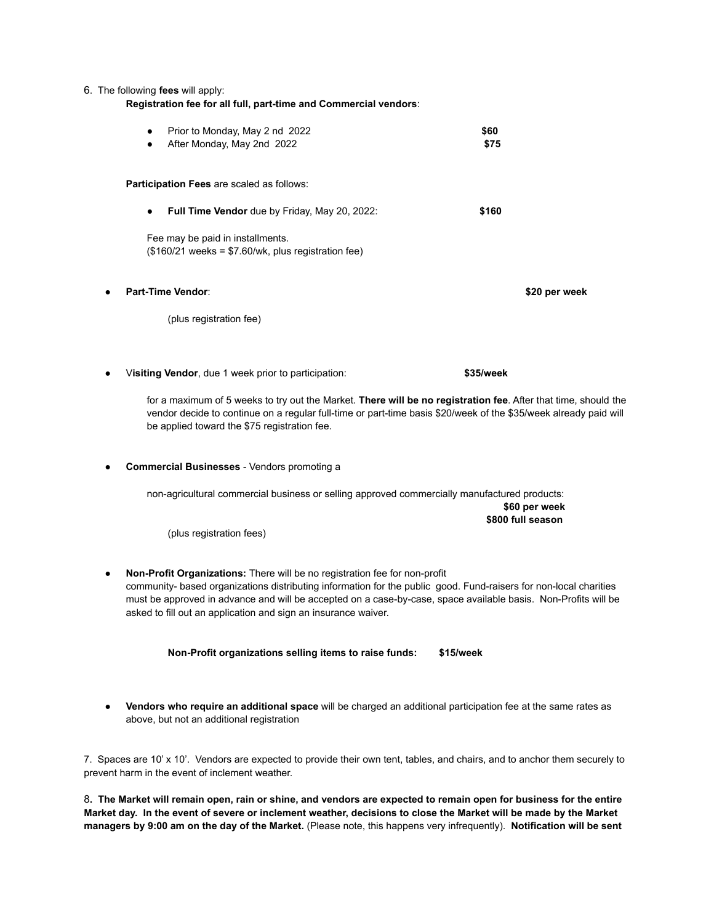## 6. The following **fees** will apply:

**Registration fee for all full, part-time and Commercial vendors**:

| Prior to Monday, May 2 nd 2022<br>$\bullet$<br>After Monday, May 2nd 2022<br>٠ | \$60<br>\$75 |  |
|--------------------------------------------------------------------------------|--------------|--|
| <b>Participation Fees</b> are scaled as follows:                               |              |  |
| <b>Full Time Vendor</b> due by Friday, May 20, 2022:<br>$\bullet$              | \$160        |  |
| Fee may be paid in installments.                                               |              |  |

(\$160/21 weeks = \$7.60/wk, plus registration fee)

● **Part-Time Vendor**: **\$20 per week**

(plus registration fee)

● V**isiting Vendor**, due 1 week prior to participation: **\$35/week**

for a maximum of 5 weeks to try out the Market. **There will be no registration fee**. After that time, should the vendor decide to continue on a regular full-time or part-time basis \$20/week of the \$35/week already paid will be applied toward the \$75 registration fee.

● **Commercial Businesses** - Vendors promoting a

non-agricultural commercial business or selling approved commercially manufactured products: **\$60 per week \$800 full season**

(plus registration fees)

● **Non-Profit Organizations:** There will be no registration fee for non-profit community- based organizations distributing information for the public good. Fund-raisers for non-local charities must be approved in advance and will be accepted on a case-by-case, space available basis. Non-Profits will be asked to fill out an application and sign an insurance waiver.

**Non-Profit organizations selling items to raise funds: \$15/week**

● **Vendors who require an additional space** will be charged an additional participation fee at the same rates as above, but not an additional registration

7. Spaces are 10' x 10'. Vendors are expected to provide their own tent, tables, and chairs, and to anchor them securely to prevent harm in the event of inclement weather.

8. The Market will remain open, rain or shine, and vendors are expected to remain open for business for the entire Market day. In the event of severe or inclement weather, decisions to close the Market will be made by the Market **managers by 9:00 am on the day of the Market.** (Please note, this happens very infrequently). **Notification will be sent**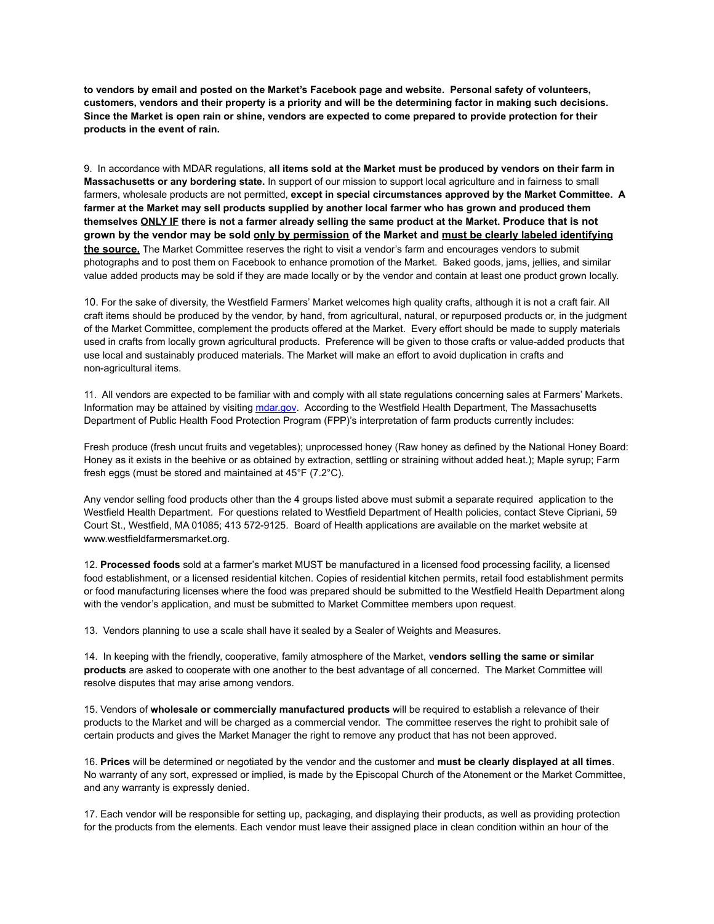**to vendors by email and posted on the Market's Facebook page and website. Personal safety of volunteers,** customers, vendors and their property is a priority and will be the determining factor in making such decisions. Since the Market is open rain or shine, vendors are expected to come prepared to provide protection for their **products in the event of rain.**

9. In accordance with MDAR regulations, **all items sold at the Market must be produced by vendors on their farm in Massachusetts or any bordering state.** In support of our mission to support local agriculture and in fairness to small farmers, wholesale products are not permitted, **except in special circumstances approved by the Market Committee. A** farmer at the Market may sell products supplied by another local farmer who has grown and produced them themselves ONLY IF there is not a farmer already selling the same product at the Market. Produce that is not **grown by the vendor may be sold only by permission of the Market and must be clearly labeled identifying the source.** The Market Committee reserves the right to visit a vendor's farm and encourages vendors to submit photographs and to post them on Facebook to enhance promotion of the Market. Baked goods, jams, jellies, and similar value added products may be sold if they are made locally or by the vendor and contain at least one product grown locally.

10. For the sake of diversity, the Westfield Farmers' Market welcomes high quality crafts, although it is not a craft fair. All craft items should be produced by the vendor, by hand, from agricultural, natural, or repurposed products or, in the judgment of the Market Committee, complement the products offered at the Market. Every effort should be made to supply materials used in crafts from locally grown agricultural products. Preference will be given to those crafts or value-added products that use local and sustainably produced materials. The Market will make an effort to avoid duplication in crafts and non-agricultural items.

11. All vendors are expected to be familiar with and comply with all state regulations concerning sales at Farmers' Markets. Information may be attained by visiting mdar.gov. According to the Westfield Health Department, The Massachusetts Department of Public Health Food Protection Program (FPP)'s interpretation of farm products currently includes:

Fresh produce (fresh uncut fruits and vegetables); unprocessed honey (Raw honey as defined by the National Honey Board: Honey as it exists in the beehive or as obtained by extraction, settling or straining without added heat.); Maple syrup; Farm fresh eggs (must be stored and maintained at 45°F (7.2°C).

Any vendor selling food products other than the 4 groups listed above must submit a separate required application to the Westfield Health Department. For questions related to Westfield Department of Health policies, contact Steve Cipriani, 59 Court St., Westfield, MA 01085; 413 572-9125. Board of Health applications are available on the market website at www.westfieldfarmersmarket.org.

12. **Processed foods** sold at a farmer's market MUST be manufactured in a licensed food processing facility, a licensed food establishment, or a licensed residential kitchen. Copies of residential kitchen permits, retail food establishment permits or food manufacturing licenses where the food was prepared should be submitted to the Westfield Health Department along with the vendor's application, and must be submitted to Market Committee members upon request.

13. Vendors planning to use a scale shall have it sealed by a Sealer of Weights and Measures.

14. In keeping with the friendly, cooperative, family atmosphere of the Market, v**endors selling the same or similar products** are asked to cooperate with one another to the best advantage of all concerned. The Market Committee will resolve disputes that may arise among vendors.

15. Vendors of **wholesale or commercially manufactured products** will be required to establish a relevance of their products to the Market and will be charged as a commercial vendor. The committee reserves the right to prohibit sale of certain products and gives the Market Manager the right to remove any product that has not been approved.

16. **Prices** will be determined or negotiated by the vendor and the customer and **must be clearly displayed at all times**. No warranty of any sort, expressed or implied, is made by the Episcopal Church of the Atonement or the Market Committee, and any warranty is expressly denied.

17. Each vendor will be responsible for setting up, packaging, and displaying their products, as well as providing protection for the products from the elements. Each vendor must leave their assigned place in clean condition within an hour of the